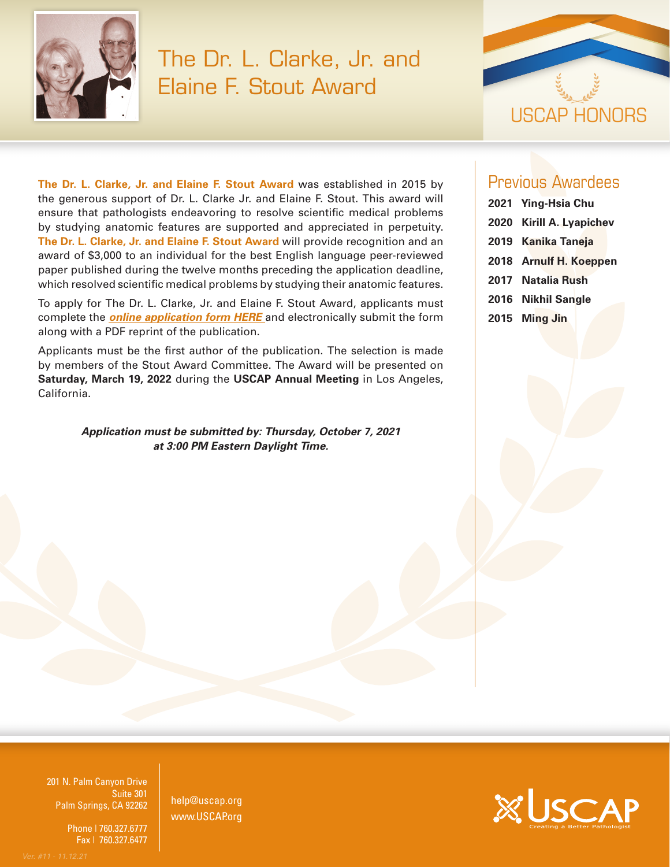

## The Dr. L. Clarke, Jr. and Elaine F. Stout Award



**The Dr. L. Clarke, Jr. and Elaine F. Stout Award** was established in 2015 by the generous support of Dr. L. Clarke Jr. and Elaine F. Stout. This award will ensure that pathologists endeavoring to resolve scientific medical problems by studying anatomic features are supported and appreciated in perpetuity. **The Dr. L. Clarke, Jr. and Elaine F. Stout Award** will provide recognition and an award of \$3,000 to an individual for the best English language peer-reviewed paper published during the twelve months preceding the application deadline, which resolved scientific medical problems by studying their anatomic features.

To apply for The Dr. L. Clarke, Jr. and Elaine F. Stout Award, applicants must complete the *[online application form HERE](https://www.xcdsystem.com/uscap/abstract/index.cfm?ID=14JSFVf)* and electronically submit the form along with a PDF reprint of the publication.

Applicants must be the first author of the publication. The selection is made by members of the Stout Award Committee. The Award will be presented on **Saturday, March 19, 2022** during the **USCAP Annual Meeting** in Los Angeles, California.

> *Application must be submitted by: Thursday, October 7, 2021 at 3:00 PM Eastern Daylight Time.*

## Previous Awardees

- **2021 Ying-Hsia Chu 2020 Kirill A. Lyapichev**
- **2019 Kanika Taneja**
- **2018 Arnulf H. Koeppen**
- **2017 Natalia Rush**
- **2016 Nikhil Sangle**
- **2015 Ming Jin**

201 N. Palm Canyon Drive Suite 301 Palm Springs, CA 92262

201 N. Palm Canyon Drive

Phone | 760.327.6777 Fax | 760.327.6477

help@uscap.org www.USCAP.org